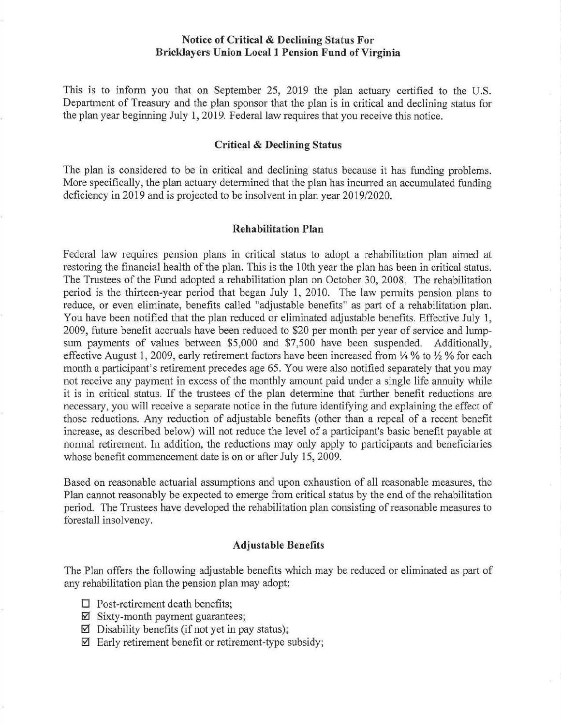## **Notice of Critical & Declining Status For Bricklayers Union Local 1 Pension Fund of Virginia**

This is to inform you that on September 25, 2019 the plan actuary certified to the U.S. Department of Treasury and the plan sponsor that the plan is in critical and declining status for the plan year beginning July 1, 2019. Federal law requires that you receive this notice.

### **Critical & Declining Status**

The plan is considered to be in critical and declining status because it has funding problems. More specifically, the plan actuary determined that the plan has incurred an accumulated funding deficiency in 2019 and is projected to be insolvent in plan year 2019/2020.

## **Rehabilitation Plan**

Federal law requires pension plans in critical status to adopt a rehabilitation plan aimed at restoring the financial health of the plan. This is the 10th year the plan has been in critical status. The Trustees of the Fund adopted a rehabilitation plan on October 30, 2008. The rehabilitation period is the thirteen-year period that began July 1, 2010. The law permits pension plans to reduce, or even eliminate, benefits called "adjustable benefits" as part of a rehabilitation plan. You have been notified that the plan reduced or eliminated adjustable benefits. Effective July 1, 2009, future benefit accruals have been reduced to \$20 per month per year of service and lumpsum payments of values between \$5,000 and \$7,500 have been suspended. Additionally, effective August 1, 2009, early retirement factors have been increased from  $\frac{1}{4}$ % to  $\frac{1}{2}$ % for each month a participant's retirement precedes age 65. You were also notified separately that you may not receive any payment in excess of the monthly amount paid under a single life annuity while it is in critical status. If the trustees of the plan determine that further benefit reductions are necessary, you will receive a separate notice in the future identifying and explaining the effect of those reductions. Any reduction of adjustable benefits ( other than a repeal of a recent benefit increase, as described below) will not reduce the level of a participant's basic benefit payable at normal retirement. In addition, the reductions may only apply to participants and beneficiaries whose benefit commencement date is on or after July 15, 2009.

Based on reasonable actuarial assumptions and upon exhaustion of all reasonable measures, the Plan cannot reasonably be expected to emerge from critical status by the end of the rehabilitation period. The Trustees have developed the rehabilitation plan consisting of reasonable measures to forestall insolvency.

#### **Adjustable Benefits**

The Plan offers the following adjustable benefits which may be reduced or eliminated as part of any rehabilitation plan the pension plan may adopt:

- □ Post-retirement death benefits;
- $\boxtimes$  Sixty-month payment guarantees;
- $\boxtimes$  Disability benefits (if not yet in pay status);
- $\boxtimes$  Early retirement benefit or retirement-type subsidy;